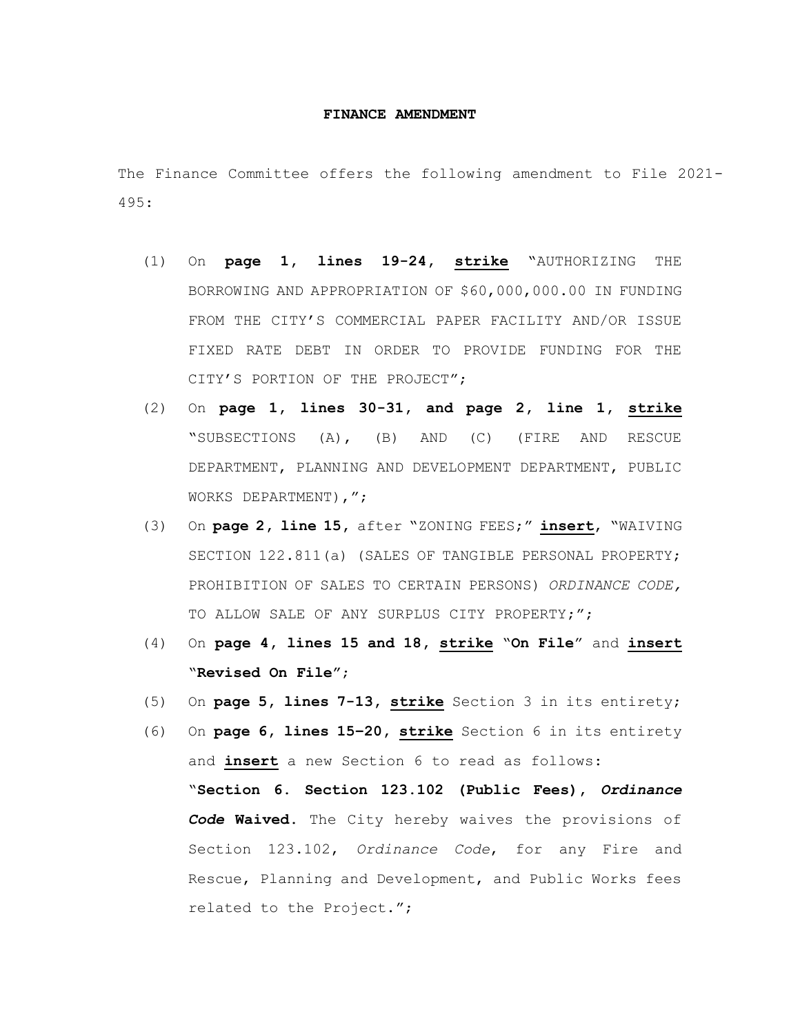## **FINANCE AMENDMENT**

The Finance Committee offers the following amendment to File 2021- 495:

- (1) On **page 1, lines 19-24, strike** "AUTHORIZING THE BORROWING AND APPROPRIATION OF \$60,000,000.00 IN FUNDING FROM THE CITY'S COMMERCIAL PAPER FACILITY AND/OR ISSUE FIXED RATE DEBT IN ORDER TO PROVIDE FUNDING FOR THE CITY'S PORTION OF THE PROJECT";
- (2) On **page 1, lines 30-31, and page 2, line 1, strike** "SUBSECTIONS (A), (B) AND (C) (FIRE AND RESCUE DEPARTMENT, PLANNING AND DEVELOPMENT DEPARTMENT, PUBLIC WORKS DEPARTMENT),";
- (3) On **page 2, line 15,** after "ZONING FEES;" **insert**, "WAIVING SECTION 122.811(a) (SALES OF TANGIBLE PERSONAL PROPERTY; PROHIBITION OF SALES TO CERTAIN PERSONS) *ORDINANCE CODE,*  TO ALLOW SALE OF ANY SURPLUS CITY PROPERTY;";
- (4) On **page 4, lines 15 and 18, strike** "**On File**" and **insert** "**Revised On File"**;
- (5) On **page 5, lines 7-13, strike** Section 3 in its entirety;
- (6) On **page 6, lines 15–20, strike** Section 6 in its entirety and **insert** a new Section 6 to read as follows: "**Section 6. Section 123.102 (Public Fees),** *Ordinance Code* **Waived.** The City hereby waives the provisions of Section 123.102, *Ordinance Code*, for any Fire and Rescue, Planning and Development, and Public Works fees related to the Project.";